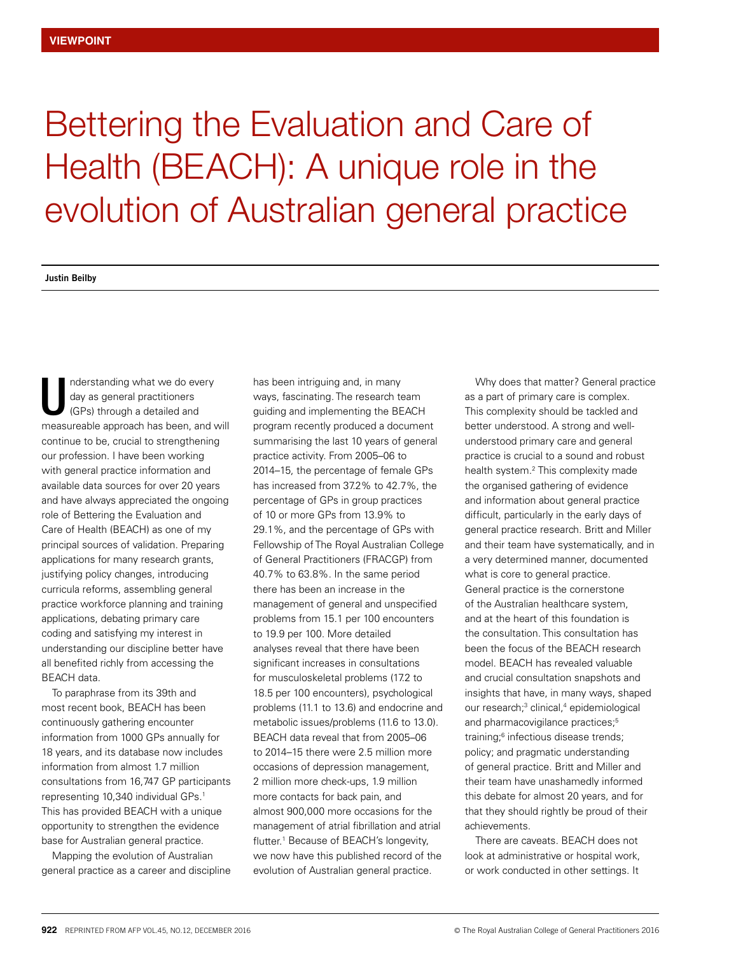## Bettering the Evaluation and Care of Health (BEACH): A unique role in the evolution of Australian general practice

**Justin Beilby**

nderstanding what we do every day as general practitioners (GPs) through a detailed and measureable approach has been, and will continue to be, crucial to strengthening our profession. I have been working with general practice information and available data sources for over 20 years and have always appreciated the ongoing role of Bettering the Evaluation and Care of Health (BEACH) as one of my principal sources of validation. Preparing applications for many research grants, justifying policy changes, introducing curricula reforms, assembling general practice workforce planning and training applications, debating primary care coding and satisfying my interest in understanding our discipline better have all benefited richly from accessing the BEACH data. U

To paraphrase from its 39th and most recent book, BEACH has been continuously gathering encounter information from 1000 GPs annually for 18 years, and its database now includes information from almost 1.7 million consultations from 16,747 GP participants representing 10,340 individual GPs.1 This has provided BEACH with a unique opportunity to strengthen the evidence base for Australian general practice.

Mapping the evolution of Australian general practice as a career and discipline has been intriguing and, in many ways, fascinating. The research team guiding and implementing the BEACH program recently produced a document summarising the last 10 years of general practice activity. From 2005–06 to 2014–15, the percentage of female GPs has increased from 37.2% to 42.7%, the percentage of GPs in group practices of 10 or more GPs from 13.9% to 29.1%, and the percentage of GPs with Fellowship of The Royal Australian College of General Practitioners (FRACGP) from 40.7% to 63.8%. In the same period there has been an increase in the management of general and unspecified problems from 15.1 per 100 encounters to 19.9 per 100. More detailed analyses reveal that there have been significant increases in consultations for musculoskeletal problems (17.2 to 18.5 per 100 encounters), psychological problems (11.1 to 13.6) and endocrine and metabolic issues/problems (11.6 to 13.0). BEACH data reveal that from 2005–06 to 2014–15 there were 2.5 million more occasions of depression management, 2 million more check-ups, 1.9 million more contacts for back pain, and almost 900,000 more occasions for the management of atrial fibrillation and atrial flutter.<sup>1</sup> Because of BEACH's longevity, we now have this published record of the evolution of Australian general practice.

Why does that matter? General practice as a part of primary care is complex. This complexity should be tackled and better understood. A strong and wellunderstood primary care and general practice is crucial to a sound and robust health system.<sup>2</sup> This complexity made the organised gathering of evidence and information about general practice difficult, particularly in the early days of general practice research. Britt and Miller and their team have systematically, and in a very determined manner, documented what is core to general practice. General practice is the cornerstone of the Australian healthcare system, and at the heart of this foundation is the consultation. This consultation has been the focus of the BEACH research model. BEACH has revealed valuable and crucial consultation snapshots and insights that have, in many ways, shaped our research;<sup>3</sup> clinical,<sup>4</sup> epidemiological and pharmacovigilance practices;<sup>5</sup> training;6 infectious disease trends; policy; and pragmatic understanding of general practice. Britt and Miller and their team have unashamedly informed this debate for almost 20 years, and for that they should rightly be proud of their achievements.

There are caveats. BEACH does not look at administrative or hospital work. or work conducted in other settings. It